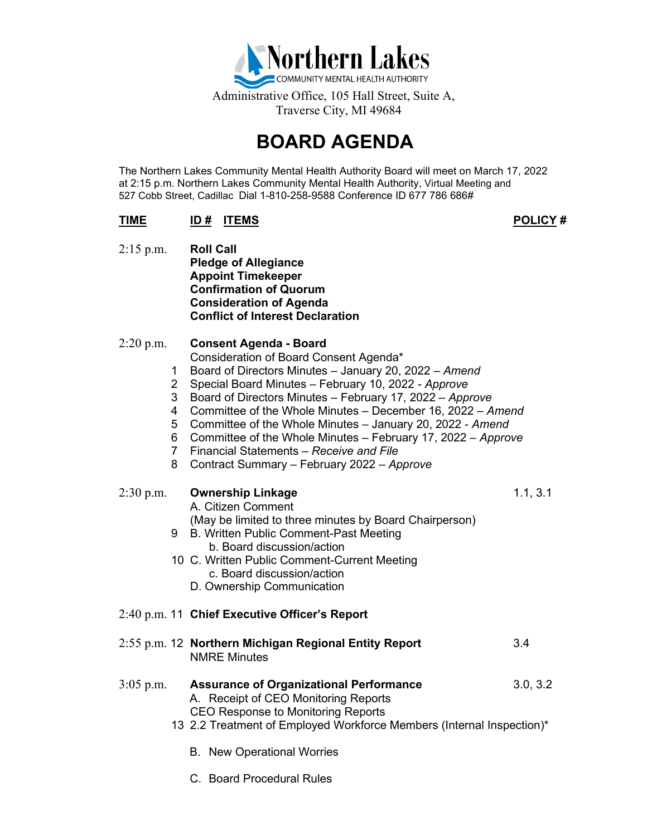

# **BOARD AGENDA**

The Northern Lakes Community Mental Health Authority Board will meet on March 17, 2022 at 2:15 p.m. Northern Lakes Community Mental Health Authority, Virtual Meeting and 527 Cobb Street, Cadillac Dial 1-810-258-9588 Conference ID 677 786 686#

# **TIME ID # ITEMS POLICY #**

2:15 p.m. **Roll Call Pledge of Allegiance Appoint Timekeeper Confirmation of Quorum Consideration of Agenda Conflict of Interest Declaration**

# 2:20 p.m. **Consent Agenda - Board**

### Consideration of Board Consent Agenda\*

- 1 Board of Directors Minutes January 20, 2022 *Amend*
- 2 Special Board Minutes February 10, 2022 *- Approve*
- 3 Board of Directors Minutes February 17, 2022 *Approve*
- 4 Committee of the Whole Minutes December 16, 2022 *Amend*
- 5 Committee of the Whole Minutes January 20, 2022 *Amend*
- 6 Committee of the Whole Minutes February 17, 2022 *Approve*
- 7 Financial Statements *Receive and File*
- 8 Contract Summary February 2022 *Approve*
- 2:30 p.m. **Ownership Linkage** 1.1, 3.1

A. Citizen Comment

(May be limited to three minutes by Board Chairperson)

- 9 B. Written Public Comment-Past Meeting b. Board discussion/action
- 10 C. Written Public Comment-Current Meeting c. Board discussion/action
	- D. Ownership Communication

# 2:40 p.m. 11 **Chief Executive Officer's Report**

2:55 p.m. 12 **Northern Michigan Regional Entity Report** 3.4 NMRE Minutes

### 3:05 p.m. **Assurance of Organizational Performance** 3.0, 3.2 A. Receipt of CEO Monitoring Reports CEO Response to Monitoring Reports

- 13 2.2 Treatment of Employed Workforce Members (Internal Inspection)\*
	- B. New Operational Worries
	- C. Board Procedural Rules